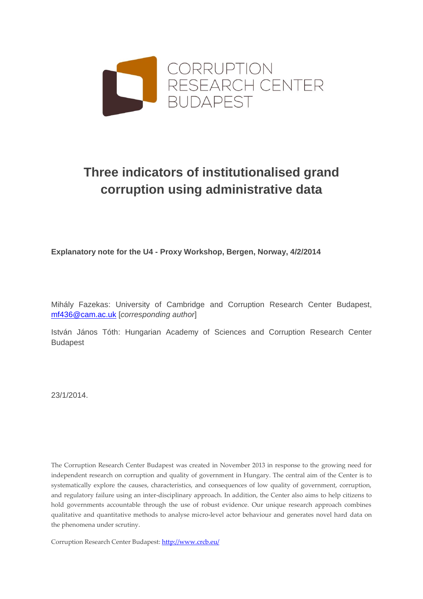

# **Three indicators of institutionalised grand corruption using administrative data**

**Explanatory note for the U4 - Proxy Workshop, Bergen, Norway, 4/2/2014**

Mihály Fazekas: University of Cambridge and Corruption Research Center Budapest, [mf436@cam.ac.uk](mailto:mf436@cam.ac.uk) [*corresponding author*]

István János Tóth: Hungarian Academy of Sciences and Corruption Research Center Budapest

23/1/2014.

The Corruption Research Center Budapest was created in November 2013 in response to the growing need for independent research on corruption and quality of government in Hungary. The central aim of the Center is to systematically explore the causes, characteristics, and consequences of low quality of government, corruption, and regulatory failure using an inter-disciplinary approach. In addition, the Center also aims to help citizens to hold governments accountable through the use of robust evidence. Our unique research approach combines qualitative and quantitative methods to analyse micro-level actor behaviour and generates novel hard data on the phenomena under scrutiny.

Corruption Research Center Budapest:<http://www.crcb.eu/>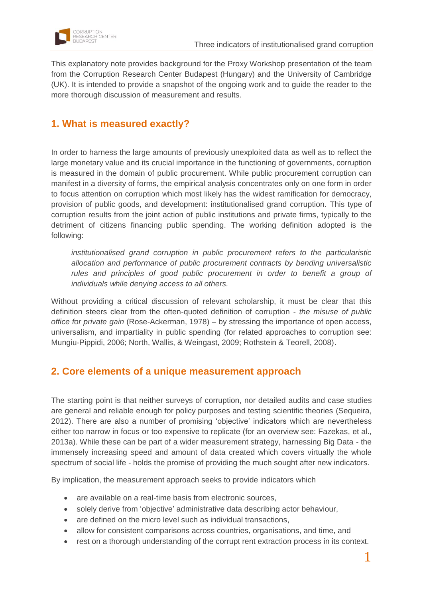

This explanatory note provides background for the Proxy Workshop presentation of the team from the Corruption Research Center Budapest (Hungary) and the University of Cambridge (UK). It is intended to provide a snapshot of the ongoing work and to guide the reader to the more thorough discussion of measurement and results.

# **1. What is measured exactly?**

In order to harness the large amounts of previously unexploited data as well as to reflect the large monetary value and its crucial importance in the functioning of governments, corruption is measured in the domain of public procurement. While public procurement corruption can manifest in a diversity of forms, the empirical analysis concentrates only on one form in order to focus attention on corruption which most likely has the widest ramification for democracy, provision of public goods, and development: institutionalised grand corruption. This type of corruption results from the joint action of public institutions and private firms, typically to the detriment of citizens financing public spending. The working definition adopted is the following:

*institutionalised grand corruption in public procurement refers to the particularistic allocation and performance of public procurement contracts by bending universalistic*  rules and principles of good public procurement in order to benefit a group of *individuals while denying access to all others.*

Without providing a critical discussion of relevant scholarship, it must be clear that this definition steers clear from the often-quoted definition of corruption - *the misuse of public office for private gain* (Rose-Ackerman, 1978) – by stressing the importance of open access, universalism, and impartiality in public spending (for related approaches to corruption see: Mungiu-Pippidi, 2006; North, Wallis, & Weingast, 2009; Rothstein & Teorell, 2008).

# **2. Core elements of a unique measurement approach**

The starting point is that neither surveys of corruption, nor detailed audits and case studies are general and reliable enough for policy purposes and testing scientific theories (Sequeira, 2012). There are also a number of promising 'objective' indicators which are nevertheless either too narrow in focus or too expensive to replicate (for an overview see: Fazekas, et al., 2013a). While these can be part of a wider measurement strategy, harnessing Big Data - the immensely increasing speed and amount of data created which covers virtually the whole spectrum of social life - holds the promise of providing the much sought after new indicators.

By implication, the measurement approach seeks to provide indicators which

- are available on a real-time basis from electronic sources,
- solely derive from 'objective' administrative data describing actor behaviour,
- are defined on the micro level such as individual transactions,
- allow for consistent comparisons across countries, organisations, and time, and
- rest on a thorough understanding of the corrupt rent extraction process in its context.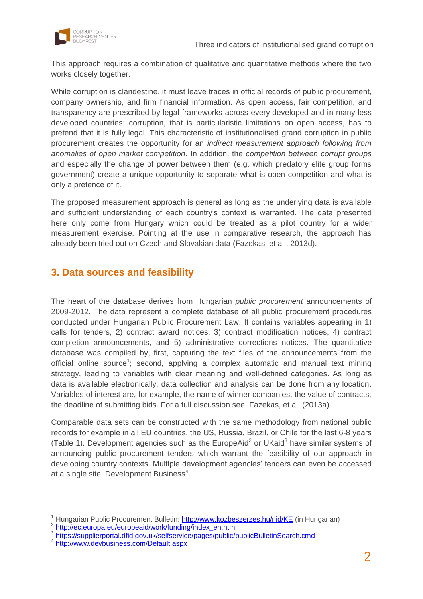

This approach requires a combination of qualitative and quantitative methods where the two works closely together.

While corruption is clandestine, it must leave traces in official records of public procurement, company ownership, and firm financial information. As open access, fair competition, and transparency are prescribed by legal frameworks across every developed and in many less developed countries; corruption, that is particularistic limitations on open access, has to pretend that it is fully legal. This characteristic of institutionalised grand corruption in public procurement creates the opportunity for an *indirect measurement approach following from anomalies of open market competition*. In addition, the *competition between corrupt groups* and especially the change of power between them (e.g. which predatory elite group forms government) create a unique opportunity to separate what is open competition and what is only a pretence of it.

The proposed measurement approach is general as long as the underlying data is available and sufficient understanding of each country's context is warranted. The data presented here only come from Hungary which could be treated as a pilot country for a wider measurement exercise. Pointing at the use in comparative research, the approach has already been tried out on Czech and Slovakian data (Fazekas, et al., 2013d).

### **3. Data sources and feasibility**

The heart of the database derives from Hungarian *public procurement* announcements of 2009-2012. The data represent a complete database of all public procurement procedures conducted under Hungarian Public Procurement Law. It contains variables appearing in 1) calls for tenders, 2) contract award notices, 3) contract modification notices, 4) contract completion announcements, and 5) administrative corrections notices. The quantitative database was compiled by, first, capturing the text files of the announcements from the official online source<sup>1</sup>; second, applying a complex automatic and manual text mining strategy, leading to variables with clear meaning and well-defined categories. As long as data is available electronically, data collection and analysis can be done from any location. Variables of interest are, for example, the name of winner companies, the value of contracts, the deadline of submitting bids. For a full discussion see: Fazekas, et al. (2013a).

Comparable data sets can be constructed with the same methodology from national public records for example in all EU countries, the US, Russia, Brazil, or Chile for the last 6-8 years [\(Table 1\)](#page-3-0). Development agencies such as the EuropeAid<sup>2</sup> or UKaid<sup>3</sup> have similar systems of announcing public procurement tenders which warrant the feasibility of our approach in developing country contexts. Multiple development agencies' tenders can even be accessed at a single site, Development Business<sup>4</sup>.

 $\overline{a}$ 

Hungarian Public Procurement Bulletin: <http://www.kozbeszerzes.hu/nid/KE> (in Hungarian)

<sup>&</sup>lt;sup>2</sup> [http://ec.europa.eu/europeaid/work/funding/index\\_en.htm](http://ec.europa.eu/europeaid/work/funding/index_en.htm)<br><sup>3</sup> https://europierpertel.dfid.gov.uk/eelfeen.jpe/peace/public/

<https://supplierportal.dfid.gov.uk/selfservice/pages/public/publicBulletinSearch.cmd>

<sup>4</sup> <http://www.devbusiness.com/Default.aspx>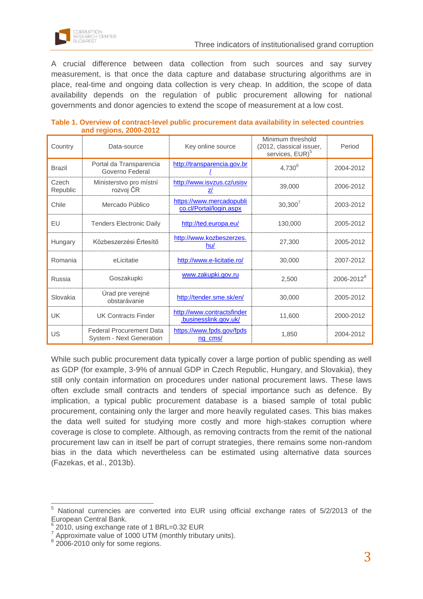

A crucial difference between data collection from such sources and say survey measurement, is that once the data capture and database structuring algorithms are in place, real-time and ongoing data collection is very cheap. In addition, the scope of data availability depends on the regulation of public procurement allowing for national governments and donor agencies to extend the scope of measurement at a low cost.

| Country           | Data-source                                                 | Key online source                                   | Minimum threshold<br>(2012, classical issuer,<br>services, EUR) <sup>5</sup> | Period                 |
|-------------------|-------------------------------------------------------------|-----------------------------------------------------|------------------------------------------------------------------------------|------------------------|
| <b>Brazil</b>     | Portal da Transparencia<br>Governo Federal                  | http://transparencia.gov.br                         | $4,730^{6}$                                                                  | 2004-2012              |
| Czech<br>Republic | Ministerstvo pro místní<br>rozvoj ČR                        | http://www.isvzus.cz/usisv<br>z/                    | 39,000                                                                       | 2006-2012              |
| Chile             | Mercado Público                                             | https://www.mercadopubli<br>co.cl/Portal/login.aspx | $30,300^{7}$                                                                 | 2003-2012              |
| EU                | <b>Tenders Electronic Daily</b>                             | http://ted.europa.eu/                               | 130,000                                                                      | 2005-2012              |
| Hungary           | Közbeszerzési Értesítő                                      | http://www.kozbeszerzes.<br>hu/                     | 27,300                                                                       | 2005-2012              |
| Romania           | eLicitatie                                                  | http://www.e-licitatie.ro/                          | 30,000                                                                       | 2007-2012              |
| Russia            | Goszakupki                                                  | www.zakupki.gov.ru                                  | 2.500                                                                        | 2006-2012 <sup>8</sup> |
| Slovakia          | Úrad pre verejné<br>obstarávanie                            | http://tender.sme.sk/en/                            | 30,000                                                                       | 2005-2012              |
| <b>UK</b>         | <b>UK Contracts Finder</b>                                  | http://www.contractsfinder<br>.businesslink.gov.uk/ | 11,600                                                                       | 2000-2012              |
| <b>US</b>         | <b>Federal Procurement Data</b><br>System - Next Generation | https://www.fpds.gov/fpds<br>ng cms/                | 1,850                                                                        | 2004-2012              |

<span id="page-3-0"></span>**Table 1. Overview of contract-level public procurement data availability in selected countries and regions, 2000-2012**

While such public procurement data typically cover a large portion of public spending as well as GDP (for example, 3-9% of annual GDP in Czech Republic, Hungary, and Slovakia), they still only contain information on procedures under national procurement laws. These laws often exclude small contracts and tenders of special importance such as defence. By implication, a typical public procurement database is a biased sample of total public procurement, containing only the larger and more heavily regulated cases. This bias makes the data well suited for studying more costly and more high-stakes corruption where coverage is close to complete. Although, as removing contracts from the remit of the national procurement law can in itself be part of corrupt strategies, there remains some non-random bias in the data which nevertheless can be estimated using alternative data sources (Fazekas, et al., 2013b).

 $\overline{a}$  $5$  National currencies are converted into EUR using official exchange rates of  $5/2/2013$  of the European Central Bank.

 $6$  2010, using exchange rate of 1 BRL=0.32 EUR

 $7$  Approximate value of 1000 UTM (monthly tributary units).

<sup>&</sup>lt;sup>8</sup> 2006-2010 only for some regions.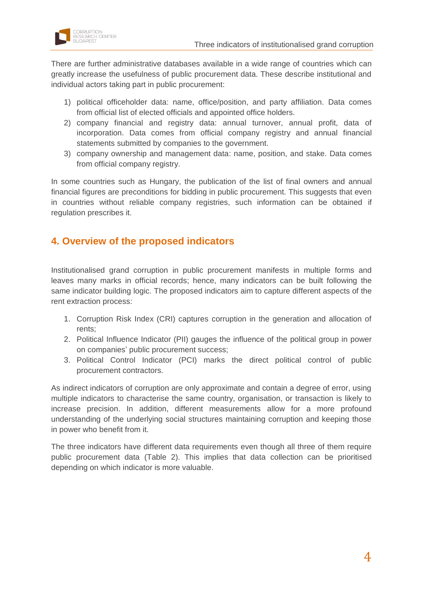

There are further administrative databases available in a wide range of countries which can greatly increase the usefulness of public procurement data. These describe institutional and individual actors taking part in public procurement:

- 1) political officeholder data: name, office/position, and party affiliation. Data comes from official list of elected officials and appointed office holders.
- 2) company financial and registry data: annual turnover, annual profit, data of incorporation. Data comes from official company registry and annual financial statements submitted by companies to the government.
- 3) company ownership and management data: name, position, and stake. Data comes from official company registry.

In some countries such as Hungary, the publication of the list of final owners and annual financial figures are preconditions for bidding in public procurement. This suggests that even in countries without reliable company registries, such information can be obtained if regulation prescribes it.

# **4. Overview of the proposed indicators**

Institutionalised grand corruption in public procurement manifests in multiple forms and leaves many marks in official records; hence, many indicators can be built following the same indicator building logic. The proposed indicators aim to capture different aspects of the rent extraction process:

- 1. Corruption Risk Index (CRI) captures corruption in the generation and allocation of rents;
- 2. Political Influence Indicator (PII) gauges the influence of the political group in power on companies' public procurement success;
- 3. Political Control Indicator (PCI) marks the direct political control of public procurement contractors.

As indirect indicators of corruption are only approximate and contain a degree of error, using multiple indicators to characterise the same country, organisation, or transaction is likely to increase precision. In addition, different measurements allow for a more profound understanding of the underlying social structures maintaining corruption and keeping those in power who benefit from it.

The three indicators have different data requirements even though all three of them require public procurement data [\(Table 2\)](#page-5-0). This implies that data collection can be prioritised depending on which indicator is more valuable.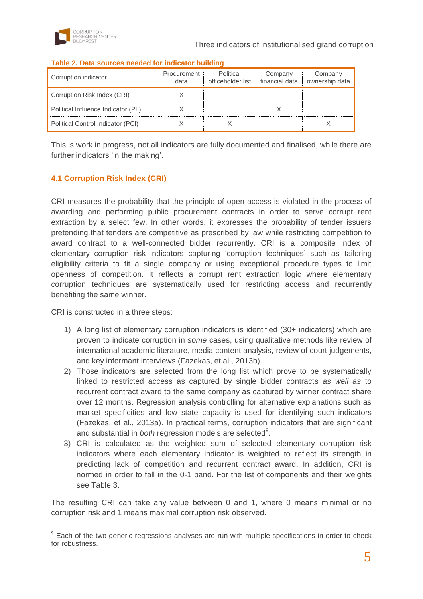| Corruption indicator                | Procurement<br>data | Political<br>officeholder list | Company<br>financial data | Company<br>ownership data |
|-------------------------------------|---------------------|--------------------------------|---------------------------|---------------------------|
| Corruption Risk Index (CRI)         |                     |                                |                           |                           |
| Political Influence Indicator (PII) |                     |                                |                           |                           |
| Political Control Indicator (PCI)   |                     |                                |                           |                           |

#### <span id="page-5-0"></span>**Table 2. Data sources needed for indicator building**

This is work in progress, not all indicators are fully documented and finalised, while there are further indicators 'in the making'.

#### **4.1 Corruption Risk Index (CRI)**

CRI measures the probability that the principle of open access is violated in the process of awarding and performing public procurement contracts in order to serve corrupt rent extraction by a select few. In other words, it expresses the probability of tender issuers pretending that tenders are competitive as prescribed by law while restricting competition to award contract to a well-connected bidder recurrently. CRI is a composite index of elementary corruption risk indicators capturing 'corruption techniques' such as tailoring eligibility criteria to fit a single company or using exceptional procedure types to limit openness of competition. It reflects a corrupt rent extraction logic where elementary corruption techniques are systematically used for restricting access and recurrently benefiting the same winner.

CRI is constructed in a three steps:

- 1) A long list of elementary corruption indicators is identified (30+ indicators) which are proven to indicate corruption in *some* cases, using qualitative methods like review of international academic literature, media content analysis, review of court judgements, and key informant interviews (Fazekas, et al., 2013b).
- 2) Those indicators are selected from the long list which prove to be systematically linked to restricted access as captured by single bidder contracts *as well as* to recurrent contract award to the same company as captured by winner contract share over 12 months. Regression analysis controlling for alternative explanations such as market specificities and low state capacity is used for identifying such indicators (Fazekas, et al., 2013a). In practical terms, corruption indicators that are significant and substantial in *both* regression models are selected<sup>9</sup>.
- 3) CRI is calculated as the weighted sum of selected elementary corruption risk indicators where each elementary indicator is weighted to reflect its strength in predicting lack of competition and recurrent contract award. In addition, CRI is normed in order to fall in the 0-1 band. For the list of components and their weights see [Table 3.](#page-6-0)

The resulting CRI can take any value between 0 and 1, where 0 means minimal or no corruption risk and 1 means maximal corruption risk observed.

 $\overline{a}$  $9$  Each of the two generic regressions analyses are run with multiple specifications in order to check for robustness.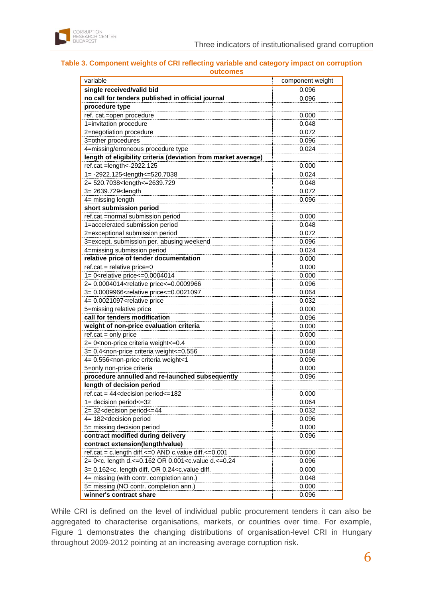

#### <span id="page-6-0"></span>**Table 3. Component weights of CRI reflecting variable and category impact on corruption outcomes**

| variable                                                                                      | component weight |  |  |  |  |
|-----------------------------------------------------------------------------------------------|------------------|--|--|--|--|
|                                                                                               |                  |  |  |  |  |
| single received/valid bid                                                                     | 0.096            |  |  |  |  |
| no call for tenders published in official journal                                             | 0.096            |  |  |  |  |
| procedure type                                                                                |                  |  |  |  |  |
| ref. cat.=open procedure                                                                      | 0.000            |  |  |  |  |
| 1=invitation procedure                                                                        | 0.048            |  |  |  |  |
| 2=negotiation procedure                                                                       | 0.072            |  |  |  |  |
| 3=other procedures                                                                            | 0.096            |  |  |  |  |
| 4=missing/erroneous procedure type                                                            | 0.024            |  |  |  |  |
| length of eligibility criteria (deviation from market average)                                |                  |  |  |  |  |
| ref.cat.=length<-2922.125                                                                     | 0.000            |  |  |  |  |
| 1=-2922.125 <length<=520.7038< td=""><td>0.024</td></length<=520.7038<>                       | 0.024            |  |  |  |  |
| 2= 520.7038 <length<=2639.729< td=""><td>0.048</td></length<=2639.729<>                       | 0.048            |  |  |  |  |
| 3= 2639.729 <length< td=""><td>0.072</td></length<>                                           | 0.072            |  |  |  |  |
| 4= missing length                                                                             | 0.096            |  |  |  |  |
| short submission period                                                                       |                  |  |  |  |  |
| ref.cat.=normal submission period                                                             | 0.000            |  |  |  |  |
| 1=accelerated submission period                                                               | 0.048            |  |  |  |  |
| 2=exceptional submission period                                                               | 0.072            |  |  |  |  |
| 3=except. submission per. abusing weekend                                                     | 0.096            |  |  |  |  |
| 4=missing submission period                                                                   | 0.024            |  |  |  |  |
| relative price of tender documentation                                                        | 0.000            |  |  |  |  |
| ref.cat.= relative price=0                                                                    | 0.000            |  |  |  |  |
| 1= 0 <relative price<="0.0004014&lt;/td"><td>0.000</td></relative>                            | 0.000            |  |  |  |  |
| 2= 0.0004014 <relative price<="0.0009966&lt;/td"><td>0.096</td></relative>                    | 0.096            |  |  |  |  |
| 3= 0.0009966 <relative price<="0.0021097&lt;/td"><td>0.064</td></relative>                    | 0.064            |  |  |  |  |
| 4= 0.0021097 <relative price<="" td=""><td>0.032</td></relative>                              | 0.032            |  |  |  |  |
| 5=missing relative price                                                                      | 0.000            |  |  |  |  |
| call for tenders modification                                                                 | 0.096            |  |  |  |  |
| weight of non-price evaluation criteria                                                       | 0.000            |  |  |  |  |
| ref.cat.= only price                                                                          | 0.000            |  |  |  |  |
| 2= 0 <non-price criteria="" weight<="0.4&lt;/td"><td>0.000</td></non-price>                   | 0.000            |  |  |  |  |
| 3= 0.4 <non-price criteria="" weight<="0.556&lt;/td"><td>0.048</td></non-price>               | 0.048            |  |  |  |  |
| 4= 0.556 <non-price criteria="" td="" weight<1<=""><td>0.096</td></non-price>                 | 0.096            |  |  |  |  |
| 5=only non-price criteria                                                                     | 0.000            |  |  |  |  |
| procedure annulled and re-launched subsequently                                               | 0.096            |  |  |  |  |
| length of decision period                                                                     |                  |  |  |  |  |
| ref.cat.= 44 <decision period<="182&lt;/td"><td>0.000</td></decision>                         | 0.000            |  |  |  |  |
| 1= decision period <= 32                                                                      | 0.064            |  |  |  |  |
| 2= 32 <decision period<="44&lt;/td"><td>0.032</td></decision>                                 | 0.032            |  |  |  |  |
| 4= 182 <decision period<="" td=""><td>0.096</td></decision>                                   | 0.096            |  |  |  |  |
| 5= missing decision period                                                                    | 0.000            |  |  |  |  |
| contract modified during delivery                                                             | 0.096            |  |  |  |  |
| contract extension(length/value)                                                              |                  |  |  |  |  |
| ref.cat.= c.length diff.<=0 AND c.value diff.<=0.001                                          | 0.000            |  |  |  |  |
| 2= 0 <c. 0.001<c.value="" d.<="0.24&lt;/td" length="" or=""><td>0.096</td></c.>               | 0.096            |  |  |  |  |
| 3= 0.162 <c. 0.24<c.="" diff.="" diff.<="" length="" or="" td="" value=""><td>0.000</td></c.> | 0.000            |  |  |  |  |
| 4= missing (with contr. completion ann.)                                                      | 0.048            |  |  |  |  |
| 5= missing (NO contr. completion ann.)                                                        | 0.000            |  |  |  |  |
| winner's contract share                                                                       | 0.096            |  |  |  |  |
|                                                                                               |                  |  |  |  |  |

While CRI is defined on the level of individual public procurement tenders it can also be aggregated to characterise organisations, markets, or countries over time. For example, [Figure 1](#page-7-0) demonstrates the changing distributions of organisation-level CRI in Hungary throughout 2009-2012 pointing at an increasing average corruption risk.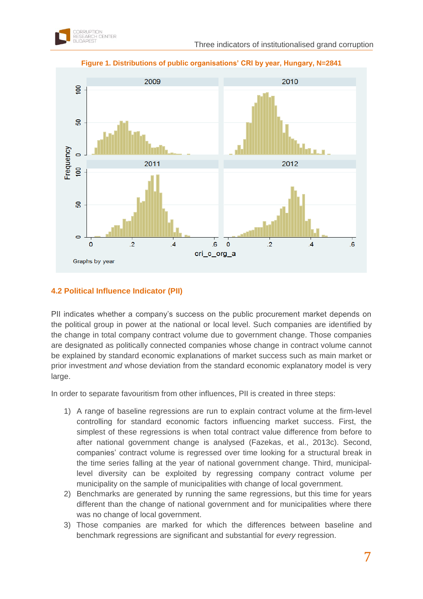<span id="page-7-0"></span>

#### **Figure 1. Distributions of public organisations' CRI by year, Hungary, N=2841**

### **4.2 Political Influence Indicator (PII)**

PII indicates whether a company's success on the public procurement market depends on the political group in power at the national or local level. Such companies are identified by the change in total company contract volume due to government change. Those companies are designated as politically connected companies whose change in contract volume cannot be explained by standard economic explanations of market success such as main market or prior investment *and* whose deviation from the standard economic explanatory model is very large.

In order to separate favouritism from other influences, PII is created in three steps:

- 1) A range of baseline regressions are run to explain contract volume at the firm-level controlling for standard economic factors influencing market success. First, the simplest of these regressions is when total contract value difference from before to after national government change is analysed (Fazekas, et al., 2013c). Second, companies' contract volume is regressed over time looking for a structural break in the time series falling at the year of national government change. Third, municipallevel diversity can be exploited by regressing company contract volume per municipality on the sample of municipalities with change of local government.
- 2) Benchmarks are generated by running the same regressions, but this time for years different than the change of national government and for municipalities where there was no change of local government.
- 3) Those companies are marked for which the differences between baseline and benchmark regressions are significant and substantial for *every* regression.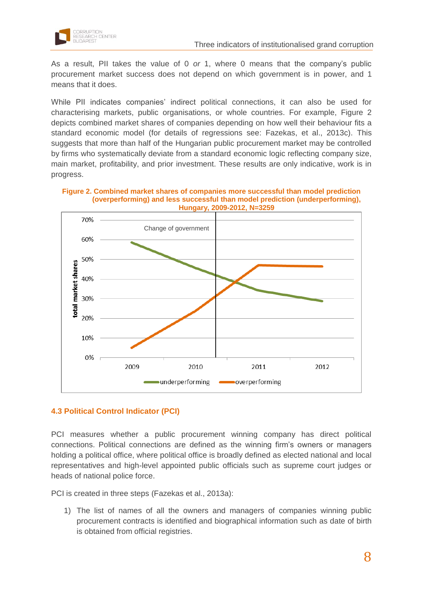

As a result, PII takes the value of 0 *or* 1, where 0 means that the company's public procurement market success does not depend on which government is in power, and 1 means that it does.

While PII indicates companies' indirect political connections, it can also be used for characterising markets, public organisations, or whole countries. For example, [Figure 2](#page-8-0) depicts combined market shares of companies depending on how well their behaviour fits a standard economic model (for details of regressions see: Fazekas, et al., 2013c). This suggests that more than half of the Hungarian public procurement market may be controlled by firms who systematically deviate from a standard economic logic reflecting company size, main market, profitability, and prior investment. These results are only indicative, work is in progress.

<span id="page-8-0"></span>



### **4.3 Political Control Indicator (PCI)**

PCI measures whether a public procurement winning company has direct political connections. Political connections are defined as the winning firm's owners or managers holding a political office, where political office is broadly defined as elected national and local representatives and high-level appointed public officials such as supreme court judges or heads of national police force.

PCI is created in three steps (Fazekas et al., 2013a):

1) The list of names of all the owners and managers of companies winning public procurement contracts is identified and biographical information such as date of birth is obtained from official registries.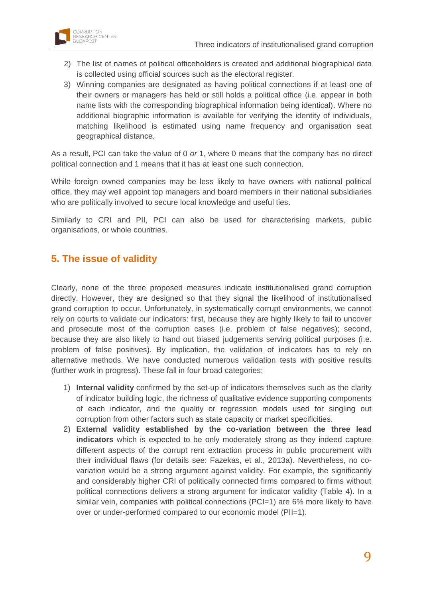

- 2) The list of names of political officeholders is created and additional biographical data is collected using official sources such as the electoral register.
- 3) Winning companies are designated as having political connections if at least one of their owners or managers has held or still holds a political office (i.e. appear in both name lists with the corresponding biographical information being identical). Where no additional biographic information is available for verifying the identity of individuals, matching likelihood is estimated using name frequency and organisation seat geographical distance.

As a result, PCI can take the value of 0 *or* 1, where 0 means that the company has no direct political connection and 1 means that it has at least one such connection.

While foreign owned companies may be less likely to have owners with national political office, they may well appoint top managers and board members in their national subsidiaries who are politically involved to secure local knowledge and useful ties.

Similarly to CRI and PII, PCI can also be used for characterising markets, public organisations, or whole countries.

### **5. The issue of validity**

Clearly, none of the three proposed measures indicate institutionalised grand corruption directly. However, they are designed so that they signal the likelihood of institutionalised grand corruption to occur. Unfortunately, in systematically corrupt environments, we cannot rely on courts to validate our indicators: first, because they are highly likely to fail to uncover and prosecute most of the corruption cases (i.e. problem of false negatives); second, because they are also likely to hand out biased judgements serving political purposes (i.e. problem of false positives). By implication, the validation of indicators has to rely on alternative methods. We have conducted numerous validation tests with positive results (further work in progress). These fall in four broad categories:

- 1) **Internal validity** confirmed by the set-up of indicators themselves such as the clarity of indicator building logic, the richness of qualitative evidence supporting components of each indicator, and the quality or regression models used for singling out corruption from other factors such as state capacity or market specificities.
- 2) **External validity established by the co-variation between the three lead indicators** which is expected to be only moderately strong as they indeed capture different aspects of the corrupt rent extraction process in public procurement with their individual flaws (for details see: Fazekas, et al., 2013a). Nevertheless, no covariation would be a strong argument against validity. For example, the significantly and considerably higher CRI of politically connected firms compared to firms without political connections delivers a strong argument for indicator validity [\(Table 4\)](#page-10-0). In a similar vein, companies with political connections (PCI=1) are 6% more likely to have over or under-performed compared to our economic model (PII=1).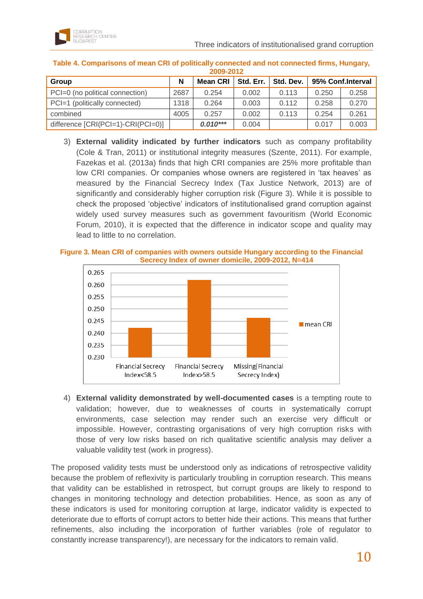

| 2009-2012                            |      |                 |           |           |                   |       |
|--------------------------------------|------|-----------------|-----------|-----------|-------------------|-------|
| Group                                | N    | <b>Mean CRI</b> | Std. Err. | Std. Dev. | 95% Conf.Interval |       |
| PCI=0 (no political connection)      | 2687 | 0.254           | 0.002     | 0.113     | 0.250             | 0.258 |
| PCI=1 (politically connected)        | 1318 | 0.264           | 0.003     | 0.112     | 0.258             | 0.270 |
| combined                             | 4005 | 0.257           | 0.002     | 0.113     | 0.254             | 0.261 |
| difference $[CRI(PCI=1)-CRI(PCI=0)]$ |      | $0.010***$      | 0.004     |           | 0.017             | 0.003 |

<span id="page-10-0"></span>**Table 4. Comparisons of mean CRI of politically connected and not connected firms, Hungary, 2009-2012**

3) **External validity indicated by further indicators** such as company profitability (Cole & Tran, 2011) or institutional integrity measures (Szente, 2011). For example, Fazekas et al. (2013a) finds that high CRI companies are 25% more profitable than low CRI companies. Or companies whose owners are registered in 'tax heaves' as measured by the Financial Secrecy Index (Tax Justice Network, 2013) are of significantly and considerably higher corruption risk [\(Figure 3\)](#page-10-1). While it is possible to check the proposed 'objective' indicators of institutionalised grand corruption against widely used survey measures such as government favouritism (World Economic Forum, 2010), it is expected that the difference in indicator scope and quality may lead to little to no correlation.

#### <span id="page-10-1"></span>**Figure 3. Mean CRI of companies with owners outside Hungary according to the Financial Secrecy Index of owner domicile, 2009-2012, N=414**



4) **External validity demonstrated by well-documented cases** is a tempting route to validation; however, due to weaknesses of courts in systematically corrupt environments, case selection may render such an exercise very difficult or impossible. However, contrasting organisations of very high corruption risks with those of very low risks based on rich qualitative scientific analysis may deliver a valuable validity test (work in progress).

The proposed validity tests must be understood only as indications of retrospective validity because the problem of reflexivity is particularly troubling in corruption research. This means that validity can be established in retrospect, but corrupt groups are likely to respond to changes in monitoring technology and detection probabilities. Hence, as soon as any of these indicators is used for monitoring corruption at large, indicator validity is expected to deteriorate due to efforts of corrupt actors to better hide their actions. This means that further refinements, also including the incorporation of further variables (role of regulator to constantly increase transparency!), are necessary for the indicators to remain valid.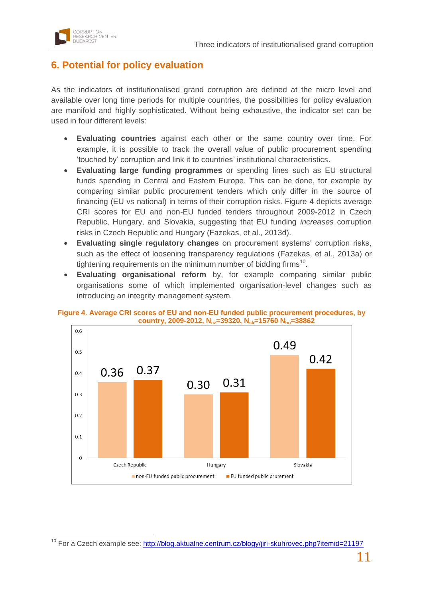

### **6. Potential for policy evaluation**

As the indicators of institutionalised grand corruption are defined at the micro level and available over long time periods for multiple countries, the possibilities for policy evaluation are manifold and highly sophisticated. Without being exhaustive, the indicator set can be used in four different levels:

- **Evaluating countries** against each other or the same country over time. For example, it is possible to track the overall value of public procurement spending 'touched by' corruption and link it to countries' institutional characteristics.
- **Evaluating large funding programmes** or spending lines such as EU structural funds spending in Central and Eastern Europe. This can be done, for example by comparing similar public procurement tenders which only differ in the source of financing (EU vs national) in terms of their corruption risks. [Figure 4](#page-11-0) depicts average CRI scores for EU and non-EU funded tenders throughout 2009-2012 in Czech Republic, Hungary, and Slovakia, suggesting that EU funding *increases* corruption risks in Czech Republic and Hungary (Fazekas, et al., 2013d).
- **Evaluating single regulatory changes** on procurement systems' corruption risks, such as the effect of loosening transparency regulations (Fazekas, et al., 2013a) or tightening requirements on the minimum number of bidding firms<sup>10</sup>.
- **Evaluating organisational reform** by, for example comparing similar public organisations some of which implemented organisation-level changes such as introducing an integrity management system.



<span id="page-11-0"></span>**Figure 4. Average CRI scores of EU and non-EU funded public procurement procedures, by country, 2009-2012, Ncz=39320, Nsk=15760 Nhu=38862**

 $\overline{a}$ <sup>10</sup> For a Czech example see:<http://blog.aktualne.centrum.cz/blogy/jiri-skuhrovec.php?itemid=21197>